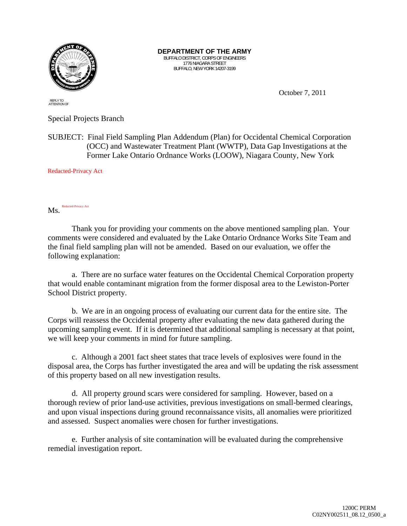

**DEPARTMENT OF THE ARMY**  BUFFALO DISTRICT, CORPS OF ENGINEERS 1776 NIAGARA STREET BUFFALO, NEW YORK 14207-3199

October 7, 2011

REPLY TO ATTENTION OF

Special Projects Branch

SUBJECT: Final Field Sampling Plan Addendum (Plan) for Occidental Chemical Corporation (OCC) and Wastewater Treatment Plant (WWTP), Data Gap Investigations at the Former Lake Ontario Ordnance Works (LOOW), Niagara County, New York

Redacted-Privacy Act

Ms. Redacted-Privacy Act

Thank you for providing your comments on the above mentioned sampling plan. Your comments were considered and evaluated by the Lake Ontario Ordnance Works Site Team and the final field sampling plan will not be amended. Based on our evaluation, we offer the following explanation:

a. There are no surface water features on the Occidental Chemical Corporation property that would enable contaminant migration from the former disposal area to the Lewiston-Porter School District property.

b. We are in an ongoing process of evaluating our current data for the entire site. The Corps will reassess the Occidental property after evaluating the new data gathered during the upcoming sampling event. If it is determined that additional sampling is necessary at that point, we will keep your comments in mind for future sampling.

c. Although a 2001 fact sheet states that trace levels of explosives were found in the disposal area, the Corps has further investigated the area and will be updating the risk assessment of this property based on all new investigation results.

d. All property ground scars were considered for sampling. However, based on a thorough review of prior land-use activities, previous investigations on small-bermed clearings, and upon visual inspections during ground reconnaissance visits, all anomalies were prioritized and assessed. Suspect anomalies were chosen for further investigations.

e. Further analysis of site contamination will be evaluated during the comprehensive remedial investigation report.